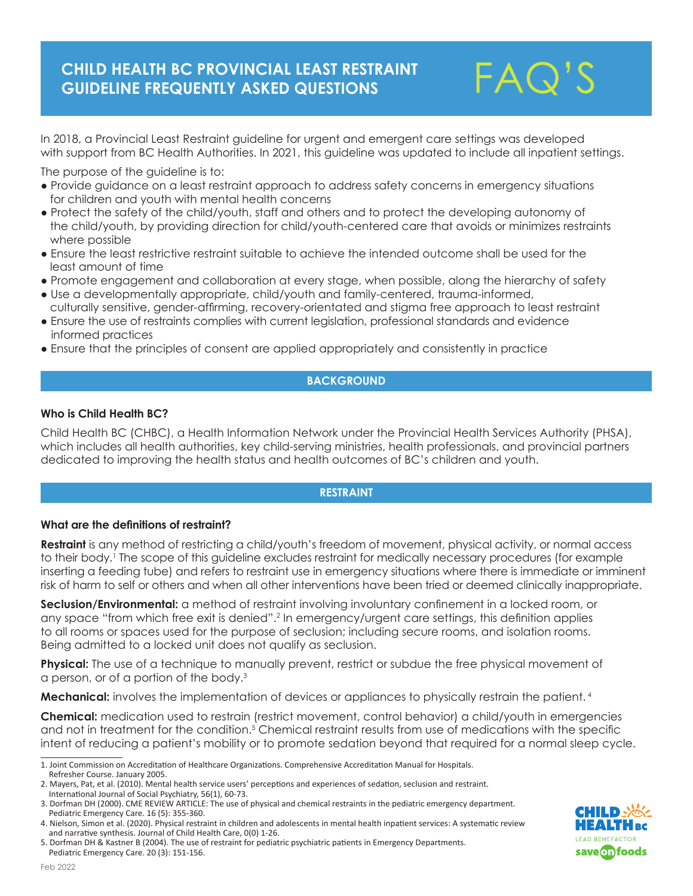

In 2018, a Provincial Least Restraint guideline for urgent and emergent care settings was developed with support from BC Health Authorities. In 2021, this guideline was updated to include all inpatient settings.

The purpose of the guideline is to:

- Provide guidance on a least restraint approach to address safety concerns in emergency situations for children and youth with mental health concerns
- Protect the safety of the child/youth, staff and others and to protect the developing autonomy of the child/youth, by providing direction for child/youth-centered care that avoids or minimizes restraints where possible
- Ensure the least restrictive restraint suitable to achieve the intended outcome shall be used for the least amount of time
- Promote engagement and collaboration at every stage, when possible, along the hierarchy of safety
- Use a developmentally appropriate, child/youth and family-centered, trauma-informed, culturally sensitive, gender-affirming, recovery-orientated and stigma free approach to least restraint
- Ensure the use of restraints complies with current legislation, professional standards and evidence informed practices
- Ensure that the principles of consent are applied appropriately and consistently in practice

## **BACKGROUND**

### **Who is Child Health BC?**

Child Health BC (CHBC), a Health Information Network under the Provincial Health Services Authority (PHSA), which includes all health authorities, key child-serving ministries, health professionals, and provincial partners dedicated to improving the health status and health outcomes of BC's children and youth.

### **RESTRAINT**

#### **What are the definitions of restraint?**

**Restraint** is any method of restricting a child/youth's freedom of movement, physical activity, or normal access to their body.<sup>1</sup> The scope of this guideline excludes restraint for medically necessary procedures (for example inserting a feeding tube) and refers to restraint use in emergency situations where there is immediate or imminent risk of harm to self or others and when all other interventions have been tried or deemed clinically inappropriate.

**Seclusion/Environmental:** a method of restraint involving involuntary confinement in a locked room, or any space "from which free exit is denied".<sup>2</sup> In emergency/urgent care settings, this definition applies to all rooms or spaces used for the purpose of seclusion; including secure rooms, and isolation rooms. Being admitted to a locked unit does not qualify as seclusion.

**Physical:** The use of a technique to manually prevent, restrict or subdue the free physical movement of a person, or of a portion of the body.<sup>3</sup>

**Mechanical:** involves the implementation of devices or appliances to physically restrain the patient.<sup>4</sup>

**Chemical:** medication used to restrain (restrict movement, control behavior) a child/youth in emergencies and not in treatment for the condition.<sup>5</sup> Chemical restraint results from use of medications with the specific intent of reducing a patient's mobility or to promote sedation beyond that required for a normal sleep cycle.



<sup>1.</sup> Joint Commission on Accreditation of Healthcare Organizations. Comprehensive Accreditation Manual for Hospitals. Refresher Course. January 2005.

<sup>2.</sup> Mayers, Pat, et al. (2010). Mental health service users' perceptions and experiences of sedation, seclusion and restraint. International Journal of Social Psychiatry, 56(1), 60-73.

<sup>3.</sup> Dorfman DH (2000). CME REVIEW ARTICLE: The use of physical and chemical restraints in the pediatric emergency department. Pediatric Emergency Care. 16 (5): 355-360.

<sup>4.</sup> Nielson, Simon et al. (2020). Physical restraint in children and adolescents in mental health inpatient services: A systematic review and narrative synthesis. Journal of Child Health Care, 0(0) 1-26.

<sup>5.</sup> Dorfman DH & Kastner B (2004). The use of restraint for pediatric psychiatric patients in Emergency Departments. Pediatric Emergency Care. 20 (3): 151-156.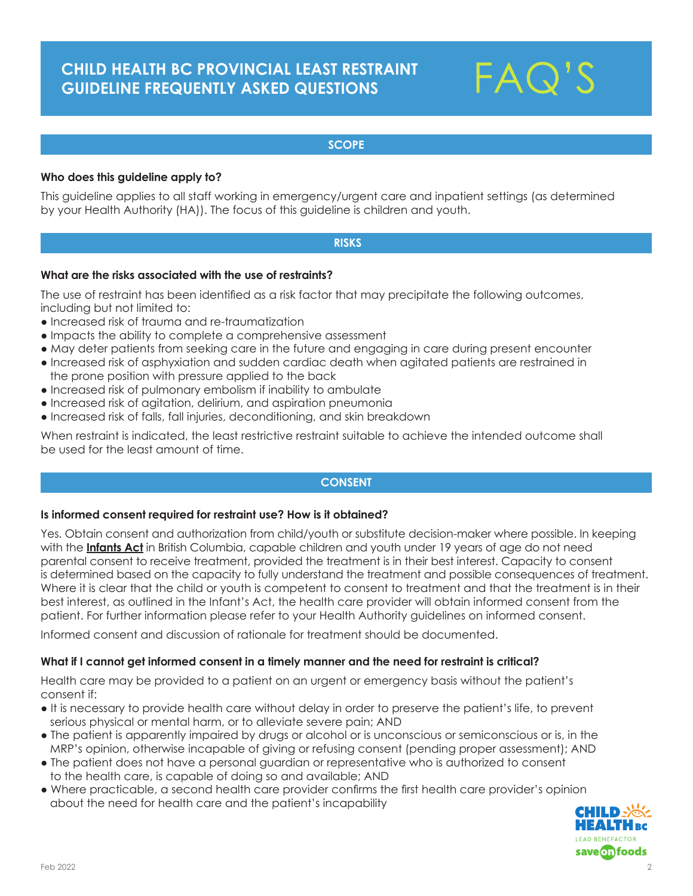

## **SCOPE**

## **Who does this guideline apply to?**

This guideline applies to all staff working in emergency/urgent care and inpatient settings (as determined by your Health Authority (HA)). The focus of this guideline is children and youth.

#### **RISKS**

#### **What are the risks associated with the use of restraints?**

The use of restraint has been identified as a risk factor that may precipitate the following outcomes, including but not limited to:

- Increased risk of trauma and re-traumatization
- Impacts the ability to complete a comprehensive assessment
- May deter patients from seeking care in the future and engaging in care during present encounter
- Increased risk of asphyxiation and sudden cardiac death when agitated patients are restrained in the prone position with pressure applied to the back
- Increased risk of pulmonary embolism if inability to ambulate
- Increased risk of agitation, delirium, and aspiration pneumonia
- Increased risk of falls, fall injuries, deconditioning, and skin breakdown

When restraint is indicated, the least restrictive restraint suitable to achieve the intended outcome shall be used for the least amount of time.

### **CONSENT**

#### **Is informed consent required for restraint use? How is it obtained?**

Yes. Obtain consent and authorization from child/youth or substitute decision-maker where possible. In keeping with the **Infants Act** in British Columbia, capable children and youth under 19 years of age do not need parental consent to receive treatment, provided the treatment is in their best interest. Capacity to consent is determined based on the capacity to fully understand the treatment and possible consequences of treatment. Where it is clear that the child or youth is competent to consent to treatment and that the treatment is in their best interest, as outlined in the Infant's Act, the health care provider will obtain informed consent from the patient. For further information please refer to your Health Authority guidelines on informed consent.

Informed consent and discussion of rationale for treatment should be documented.

#### **What if I cannot get informed consent in a timely manner and the need for restraint is critical?**

Health care may be provided to a patient on an urgent or emergency basis without the patient's consent if:

- It is necessary to provide health care without delay in order to preserve the patient's life, to prevent serious physical or mental harm, or to alleviate severe pain; AND
- The patient is apparently impaired by drugs or alcohol or is unconscious or semiconscious or is, in the MRP's opinion, otherwise incapable of giving or refusing consent (pending proper assessment); AND
- The patient does not have a personal guardian or representative who is authorized to consent to the health care, is capable of doing so and available; AND
- Where practicable, a second health care provider confirms the first health care provider's opinion about the need for health care and the patient's incapability

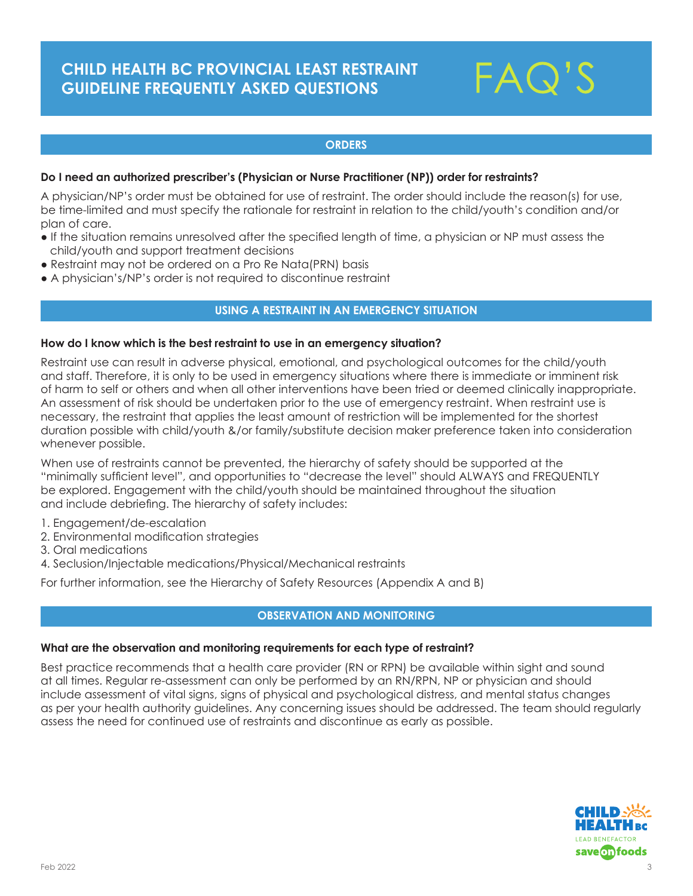

## **ORDERS**

#### **Do I need an authorized prescriber's (Physician or Nurse Practitioner (NP)) order for restraints?**

A physician/NP's order must be obtained for use of restraint. The order should include the reason(s) for use, be time-limited and must specify the rationale for restraint in relation to the child/youth's condition and/or plan of care.

- If the situation remains unresolved after the specified length of time, a physician or NP must assess the child/youth and support treatment decisions
- Restraint may not be ordered on a Pro Re Nata(PRN) basis
- A physician's/NP's order is not required to discontinue restraint

## **USING A RESTRAINT IN AN EMERGENCY SITUATION**

#### **How do I know which is the best restraint to use in an emergency situation?**

Restraint use can result in adverse physical, emotional, and psychological outcomes for the child/youth and staff. Therefore, it is only to be used in emergency situations where there is immediate or imminent risk of harm to self or others and when all other interventions have been tried or deemed clinically inappropriate. An assessment of risk should be undertaken prior to the use of emergency restraint. When restraint use is necessary, the restraint that applies the least amount of restriction will be implemented for the shortest duration possible with child/youth &/or family/substitute decision maker preference taken into consideration whenever possible.

When use of restraints cannot be prevented, the hierarchy of safety should be supported at the "minimally sufficient level", and opportunities to "decrease the level" should ALWAYS and FREQUENTLY be explored. Engagement with the child/youth should be maintained throughout the situation and include debriefing. The hierarchy of safety includes:

- 1. Engagement/de-escalation
- 2. Environmental modification strategies
- 3. Oral medications
- 4. Seclusion/Injectable medications/Physical/Mechanical restraints

For further information, see the Hierarchy of Safety Resources (Appendix A and B)

## **OBSERVATION AND MONITORING**

#### **What are the observation and monitoring requirements for each type of restraint?**

Best practice recommends that a health care provider (RN or RPN) be available within sight and sound at all times. Regular re-assessment can only be performed by an RN/RPN, NP or physician and should include assessment of vital signs, signs of physical and psychological distress, and mental status changes as per your health authority guidelines. Any concerning issues should be addressed. The team should regularly assess the need for continued use of restraints and discontinue as early as possible.